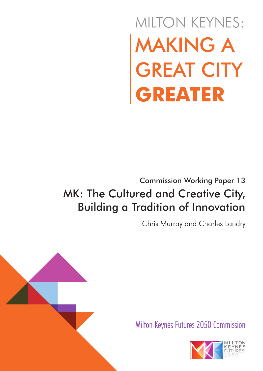# MAKING A GREAT CITY **GREATER** MILTON KEYNES:

Commission Working Paper 13

## MK: The Cultured and Creative City, Building a Tradition of Innovation

Chris Murray and Charles Landry



Milton Keynes Futures 2050 Commission

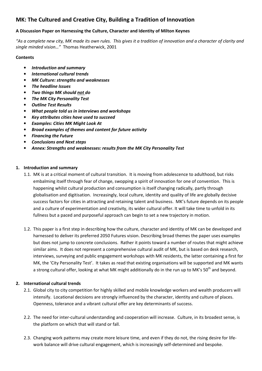### MK: The Cultured and Creative City, Building a Tradition of Innovation

#### A Discussion Paper on Harnessing the Culture, Character and Identity of Milton Keynes

"As a complete new city, MK made its own rules. This gives it a tradition of innovation and a character of clarity and single minded vision…" Thomas Heatherwick, 2001

#### **Contents**

- Introduction and summary
- International cultural trends
- MK Culture: strengths and weaknesses
- The headline Issues
- Two things MK should not do
- The MK City Personality Test
- Outline Test Results
- What people told us in interviews and workshops
- Key attributes cities have used to succeed
- Examples: Cities MK Might Look At
- Broad examples of themes and content for future activity
- Financing the Future
- Conclusions and Next steps
- Annex: Strengths and weaknesses: results from the MK City Personality Test

#### 1. Introduction and summary

- 1.1. MK is at a critical moment of cultural transition. It is moving from adolescence to adulthood, but risks embalming itself through fear of change, swopping a spirit of innovation for one of convention. This is happening whilst cultural production and consumption is itself changing radically, partly through globalisation and digitisation. Increasingly, local culture, identity and quality of life are globally decisive success factors for cities in attracting and retaining talent and business. MK's future depends on its people and a culture of experimentation and creativity, its wider cultural offer. It will take time to unfold in its fullness but a paced and purposeful approach can begin to set a new trajectory in motion.
- 1.2. This paper is a first step in describing how the culture, character and identity of MK can be developed and harnessed to deliver its preferred 2050 Futures vision. Describing broad themes the paper uses examples but does not jump to concrete conclusions. Rather it points toward a number of routes that might achieve similar aims. It does not represent a comprehensive cultural audit of MK, but is based on desk research, interviews, surveying and public engagement workshops with MK residents, the latter containing a first for MK, the 'City Personality Test'. It takes as read that existing organisations will be supported and MK wants a strong cultural offer, looking at what MK might additionally do in the run up to MK's 50<sup>th</sup> and beyond.

#### 2. International cultural trends

- 2.1. Global city to city competition for highly skilled and mobile knowledge workers and wealth producers will intensify. Locational decisions are strongly influenced by the character, identity and culture of places. Openness, tolerance and a vibrant cultural offer are key determinants of success.
- 2.2. The need for inter-cultural understanding and cooperation will increase. Culture, in its broadest sense, is the platform on which that will stand or fall.
- 2.3. Changing work patterns may create more leisure time, and even if they do not, the rising desire for lifework balance will drive cultural engagement, which is increasingly self-determined and bespoke.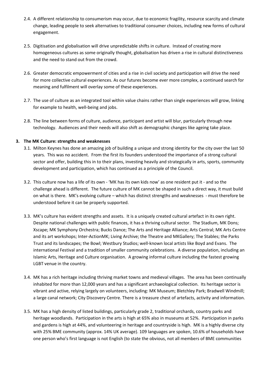- 2.4. A different relationship to consumerism may occur, due to economic fragility, resource scarcity and climate change, leading people to seek alternatives to traditional consumer choices, including new forms of cultural engagement.
- 2.5. Digitisation and globalisation will drive unpredictable shifts in culture. Instead of creating more homogeneous cultures as some originally thought, globalisation has driven a rise in cultural distinctiveness and the need to stand out from the crowd.
- 2.6. Greater democratic empowerment of cities and a rise in civil society and participation will drive the need for more collective cultural experiences. As our futures become ever more complex, a continued search for meaning and fulfilment will overlay some of these experiences.
- 2.7. The use of culture as an integrated tool within value chains rather than single experiences will grow, linking for example to health, well-being and jobs.
- 2.8. The line between forms of culture, audience, participant and artist will blur, particularly through new technology. Audiences and their needs will also shift as demographic changes like ageing take place.

#### 3. The MK Culture: strengths and weaknesses

- 3.1. Milton Keynes has done an amazing job of building a unique and strong identity for the city over the last 50 years. This was no accident. From the first its founders understood the importance of a strong cultural sector and offer, building this in to their plans, investing heavily and strategically in arts, sports, community development and participation, which has continued as a principle of the Council.
- 3.2. This culture now has a life of its own 'MK has its own kids now' as one resident put it and so the challenge ahead is different. The future culture of MK cannot be shaped in such a direct way, it must build on what is there. MK's evolving culture – which has distinct strengths and weaknesses - must therefore be understood before it can be properly supported.
- 3.3. MK's culture has evident strengths and assets. It is a uniquely created cultural artefact in its own right. Despite national challenges with public finances, it has a thriving cultural sector. The Stadium, MK Dons; Xscape; MK Symphony Orchestra; Bucks Dance; The Arts and Heritage Alliance; Arts Central; MK Arts Centre and its art workshops; Inter-ActionMK; Living Archive; the Theatre and MKGallery; The Stables; the Parks Trust and its landscapes; the Bowl; Westbury Studios; well-known local artists like Boyd and Evans. The international Festival and a tradition of smaller community celebrations. A diverse population, including an Islamic Arts, Heritage and Culture organisation. A growing informal culture including the fastest growing LGBT venue in the country.
- 3.4. MK has a rich heritage including thriving market towns and medieval villages. The area has been continually inhabited for more than 12,000 years and has a significant archaeological collection. Its heritage sector is vibrant and active, relying largely on volunteers, including: MK Museum; Bletchley Park; Bradwell Windmill; a large canal network; City Discovery Centre. There is a treasure chest of artefacts, activity and information.
- 3.5. MK has a high density of listed buildings, particularly grade 2, traditional orchards, country parks and heritage woodlands. Participation in the arts is high at 65% also in museums at 52%. Participation in parks and gardens is high at 44%, and volunteering in heritage and countryside is high. MK is a highly diverse city with 25% BME community (approx. 14% UK average). 109 languages are spoken, 10.6% of households have one person who's first language is not English (to state the obvious, not all members of BME communities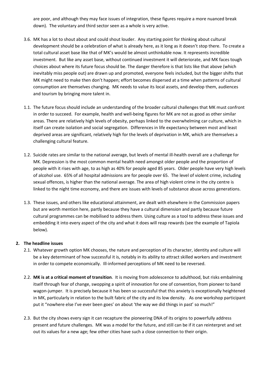are poor, and although they may face issues of integration, these figures require a more nuanced break down). The voluntary and third sector seen as a whole is very active.

- 3.6. MK has a lot to shout about and could shout louder. Any starting point for thinking about cultural development should be a celebration of what is already here, as it long as it doesn't stop there. To create a total cultural asset base like that of MK's would be almost unthinkable now. It represents incredible investment. But like any asset base, without continued investment it will deteriorate, and MK faces tough choices about where its future focus should be. The danger therefore is that lists like that above (which inevitably miss people out) are drawn up and promoted, everyone feels included, but the bigger shifts that MK might need to make then don't happen; effort becomes dispersed at a time when patterns of cultural consumption are themselves changing. MK needs to value its local assets, and develop them, audiences and tourism by bringing more talent in.
- 1.1. The future focus should include an understanding of the broader cultural challenges that MK must confront in order to succeed. For example, health and well-being figures for MK are not as good as other similar areas. There are relatively high levels of obesity, perhaps linked to the overwhelming car culture, which in itself can create isolation and social segregation. Differences in life expectancy between most and least deprived areas are significant, relatively high for the levels of deprivation in MK, which are themselves a challenging cultural feature.
- 1.2. Suicide rates are similar to the national average, but levels of mental ill-health overall are a challenge for MK. Depression is the most common mental health need amongst older people and the proportion of people with it rises with age, to as high as 40% for people aged 85 years. Older people have very high levels of alcohol use. 65% of all hospital admissions are for people over 65. The level of violent crime, including sexual offences, is higher than the national average. The area of high violent crime in the city centre is linked to the night time economy, and there are issues with levels of substance abuse across generations.
- 1.3. These issues, and others like educational attainment, are dealt with elsewhere in the Commission papers but are worth mention here, partly because they have a cultural dimension and partly because future cultural programmes can be mobilised to address them. Using culture as a tool to address these issues and embedding it into every aspect of the city and what it does will reap rewards (see the example of Tapiola below).

#### 2. The headline issues

- 2.1. Whatever growth option MK chooses, the nature and perception of its character, identity and culture will be a key determinant of how successful it is, notably in its ability to attract skilled workers and investment in order to compete economically. Ill-informed perceptions of MK need to be reversed.
- 2.2. MK is at a critical moment of transition. It is moving from adolescence to adulthood, but risks embalming itself through fear of change, swopping a spirit of innovation for one of convention, from pioneer to band wagon-jumper. It is precisely because it has been so successful that this anxiety is exceptionally heightened in MK, particularly in relation to the built fabric of the city and its low density. As one workshop participant put it "nowhere else I've ever been goes' on about 'the way we did things in past' so much!"
- 2.3. But the city shows every sign it can recapture the pioneering DNA of its origins to powerfully address present and future challenges. MK was a model for the future, and still can be if it can reinterpret and set out its values for a new age; few other cities have such a close connection to their origin.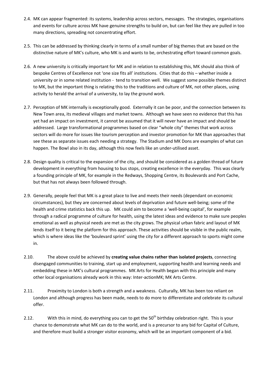- 2.4. MK can appear fragmented: its systems, leadership across sectors, messages. The strategies, organisations and events for culture across MK have genuine strengths to build on, but can feel like they are pulled in too many directions, spreading not concentrating effort.
- 2.5. This can be addressed by thinking clearly in terms of a small number of big themes that are based on the distinctive nature of MK's culture, who MK is and wants to be, orchestrating effort toward common goals.
- 2.6. A new university is critically important for MK and in relation to establishing this, MK should also think of bespoke Centres of Excellence not 'one size fits all' institutions. Cities that do this – whether inside a university or in some related institution - tend to transition well. We suggest some possible themes distinct to MK, but the important thing is relating this to the traditions and culture of MK, not other places, using activity to herald the arrival of a university, to lay the ground work.
- 2.7. Perception of MK internally is exceptionally good. Externally it can be poor, and the connection between its New Town area, its medieval villages and market towns. Although we have seen no evidence that this has yet had an impact on investment, it cannot be assumed that it will never have an impact and should be addressed. Large transformational programmes based on clear "whole city" themes that work across sectors will do more for issues like tourism perception and investor promotion for MK than approaches that see these as separate issues each needing a strategy. The Stadium and MK Dons are examples of what can happen. The Bowl also in its day, although this now feels like an under-utilised asset.
- 2.8. Design quality is critical to the expansion of the city, and should be considered as a golden thread of future development in everything from housing to bus stops, creating excellence in the everyday. This was clearly a founding principle of MK, for example in the Redways, Shopping Centre, its Boulevards and Port Cache, but that has not always been followed through.
- 2.9. Generally, people feel that MK is a great place to live and meets their needs (dependant on economic circumstances), but they are concerned about levels of deprivation and future well-being; some of the health and crime statistics back this up. MK could aim to become a 'well-being capital', for example through a radical programme of culture for health, using the latest ideas and evidence to make sure peoples emotional as well as physical needs are met as the city grows. The physical urban fabric and layout of MK lends itself to it being the platform for this approach. These activities should be visible in the public realm, which is where ideas like the 'boulevard sprint' using the city for a different approach to sports might come in.
- 2.10. The above could be achieved by creating value chains rather than isolated projects, connecting disengaged communities to training, start up and employment, supporting health and learning needs and embedding these in MK's cultural programmes. MK Arts for Health began with this principle and many other local organisations already work in this way: Inter-actionMK; MK Arts Centre.
- 2.11. Proximity to London is both a strength and a weakness. Culturally, MK has been too reliant on London and although progress has been made, needs to do more to differentiate and celebrate its cultural offer.
- 2.12. With this in mind, do everything you can to get the  $50<sup>th</sup>$  birthday celebration right. This is your chance to demonstrate what MK can do to the world, and is a precursor to any bid for Capital of Culture, and therefore must build a stronger visitor economy, which will be an important component of a bid.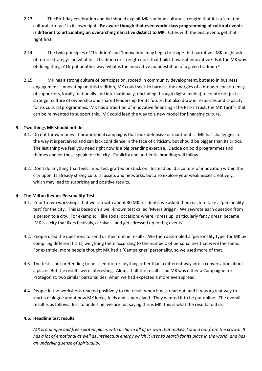- 2.13. The Birthday celebration and bid should exploit MK's unique cultural strength: that it is a 'created cultural artefact' in its own right. Be aware though that even world class programming of cultural events is different to articulating an overarching narrative distinct to MK. Cities with the best events get that right first.
- 2.14. The twin principles of 'Tradition' and 'Innovation' may begin to shape that narrative. MK might ask of future strategy: 'on what local tradition or strength does that build, how is it innovative?' Is it the MK way of doing things? Or put another way 'what is the innovative manifestation of a given tradition?'
- 2.15. MK has a strong culture of participation, rooted in community development, but also in business engagement. Innovating on this tradition, MK could seek to harness the energies of a broader constituency of supporters, locally, nationally and internationally, (including through digital media) to create not just a stronger culture of ownership and shared leadership for its future, but also draw in resources and capacity for its cultural programmes. MK has a tradition of innovative financing - the Parks Trust, the MK Tariff - that can be reinvented to support this. MK could lead the way to a new model for financing culture.

#### 3. Two things MK should not do

- 3.1. Do not throw money at promotional campaigns that look defensive or inauthentic. MK has challenges in the way it is perceived and can lack confidence in the face of criticism, but should be bigger than its critics. The last thing we feel you need right now is a big branding exercise. Decide on bold programmes and themes and let these speak for the city. Publicity and authentic branding will follow.
- 3.2. Don't do anything that feels imported, grafted or stuck on. Instead build a culture of innovation within the city upon its already strong cultural assets and networks, but also explore your weaknesses creatively, which may lead to surprising and positive results.

#### 4. The Milton Keynes Personality Test

- 4.1. Prior to two workshops that we ran with about 30 MK residents, we asked them each to take a 'personality test' for the city. This is based on a well-known test called 'Myers Briggs'. We rewrote each question from a person to a city. For example: 'I like social occasions where I dress up, particularly fancy dress' became 'MK is a city that likes festivals, carnivals, and gets dressed up for big events'.
- 4.2. People used the questions to send us their online results. We then assembled a 'personality type' for MK by compiling different traits, weighting them according to the numbers of personalities that were the same. For example, more people thought MK had a 'Campaigner' personality, so we used more of that.
- 4.3. The test is not pretending to be scientific, or anything other than a different way into a conversation about a place. But the results were interesting. Almost half the results said MK was either a Campaigner or Protagonist, two similar personalities, when we had expected a more even spread.
- 4.4. People in the workshops reacted positively to the result when it was read out, and it was a great way to start a dialogue about how MK looks, feels and is perceived. They wanted it to be put online. The overall result is as follows. Just to underline, we are not saying this is MK; this is what the results told us.

#### 4.5. Headline test results

MK is a unique and free spirited place, with a charm all of its own that makes it stand out from the crowd. It has a lot of emotional as well as intellectual energy which it uses to search for its place in the world, and has an underlying sense of spirituality.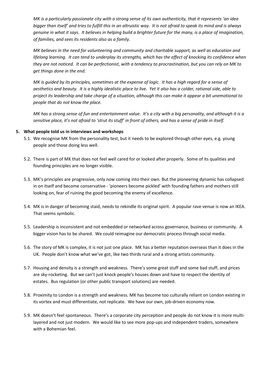MK is a particularly passionate city with a strong sense of its own authenticity, that it represents 'an idea bigger than itself' and tries to fulfill this in an altruistic way. It is not afraid to speak its mind and is always genuine in what it says. It believes in helping build a brighter future for the many, is a place of imagination, of families, and sees its residents also as a family.

MK believes in the need for volunteering and community and charitable support, as well as education and lifelong learning. It can tend to underplay its strengths, which has the effect of knocking its confidence when they are not noticed. It can be perfectionist, with a tendency to procrastination, but you can rely on MK to get things done in the end.

MK is guided by its principles, sometimes at the expense of logic. It has a high regard for a sense of aesthetics and beauty. It is a highly idealistic place to live. Yet it also has a colder, rational side, able to project its leadership and take charge of a situation, although this can make it appear a bit unemotional to people that do not know the place.

MK has a strong sense of fun and entertainment value. It's a city with a big personality, and although it is a sensitive place, it's not afraid to 'strut its stuff' in front of others, and has a sense of pride in itself.

#### 5. What people told us in interviews and workshops

- 5.1. We recognise MK from the personality test, but it needs to be explored through other eyes, e.g. young people and those doing less well.
- 5.2. There is part of MK that does not feel well cared for or looked after properly. Some of its qualities and founding principles are no longer visible.
- 5.3. MK's principles are progressive, only now coming into their own. But the pioneering dynamic has collapsed in on itself and become conservative - 'pioneers become pickled' with founding fathers and mothers still looking on, fear of ruining the good becoming the enemy of excellence.
- 5.4. MK is in danger of becoming staid, needs to rekindle its original spirit. A popular rave venue is now an IKEA. That seems symbolic.
- 5.5. Leadership is inconsistent and not embedded or networked across governance, business or community. A bigger vision has to be shared. We could reimagine our democratic process through social media.
- 5.6. The story of MK is complex, it is not just one place. MK has a better reputation overseas than it does in the UK. People don't know what we've got, like two thirds rural and a strong artists community.
- 5.7. Housing and density is a strength and weakness. There's some great stuff and some bad stuff, and prices are sky-rocketing. But we can't just knock people's houses down and have to respect the identity of estates. Bus regulation (or other public transport solutions) are needed.
- 5.8. Proximity to London is a strength and weakness. MK has become too culturally reliant on London existing in its vortex and must differentiate, not replicate. We have our own, job-driven economy now.
- 5.9. MK doesn't feel spontaneous. There's a corporate city perception and people do not know it is more multilayered and not just modern. We would like to see more pop-ups and independent traders, somewhere with a Bohemian feel.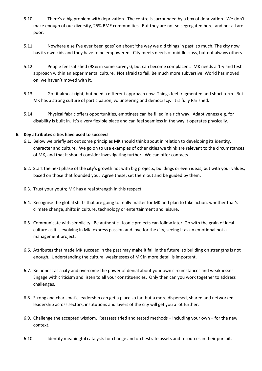- 5.10. There's a big problem with deprivation. The centre is surrounded by a box of deprivation. We don't make enough of our diversity, 25% BME communities. But they are not so segregated here, and not all are poor.
- 5.11. Nowhere else I've ever been goes' on about 'the way we did things in past' so much. The city now has its own kids and they have to be empowered. City meets needs of middle class, but not always others.
- 5.12. People feel satisfied (98% in some surveys), but can become complacent. MK needs a 'try and test' approach within an experimental culture. Not afraid to fail. Be much more subversive. World has moved on, we haven't moved with it.
- 5.13. Got it almost right, but need a different approach now. Things feel fragmented and short term. But MK has a strong culture of participation, volunteering and democracy. It is fully Parished.
- 5.14. Physical fabric offers opportunities, emptiness can be filled in a rich way. Adaptiveness e.g. for disability is built in. It's a very flexible place and can feel seamless in the way it operates physically.

#### 6. Key attributes cities have used to succeed

- 6.1. Below we briefly set out some principles MK should think about in relation to developing its identity, character and culture. We go on to use examples of other cities we think are relevant to the circumstances of MK, and that it should consider investigating further. We can offer contacts.
- 6.2. Start the next phase of the city's growth not with big projects, buildings or even ideas, but with your values, based on those that founded you. Agree these, set them out and be guided by them.
- 6.3. Trust your youth; MK has a real strength in this respect.
- 6.4. Recognise the global shifts that are going to really matter for MK and plan to take action, whether that's climate change, shifts in culture, technology or entertainment and leisure.
- 6.5. Communicate with simplicity. Be authentic. Iconic projects can follow later. Go with the grain of local culture as it is evolving in MK, express passion and love for the city, seeing it as an emotional not a management project.
- 6.6. Attributes that made MK succeed in the past may make it fail in the future, so building on strengths is not enough. Understanding the cultural weaknesses of MK in more detail is important.
- 6.7. Be honest as a city and overcome the power of denial about your own circumstances and weaknesses. Engage with criticism and listen to all your constituencies. Only then can you work together to address challenges.
- 6.8. Strong and charismatic leadership can get a place so far, but a more dispersed, shared and networked leadership across sectors, institutions and layers of the city will get you a lot further.
- 6.9. Challenge the accepted wisdom. Reassess tried and tested methods including your own for the new context.
- 6.10. Identify meaningful catalysts for change and orchestrate assets and resources in their pursuit.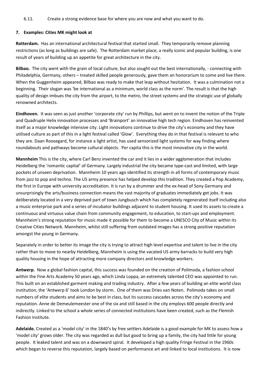#### 6.11. Create a strong evidence base for where you are now and what you want to do.

#### 7. Examples: Cities MK might look at

Rotterdam. Has an international architectural festival that started small. They temporarily remove planning restrictions (as long as buildings are safe). The Rotterdam market place, a really iconic and popular building, is one result of years of building up an appetite for great architecture in the city.

Bilbao. The city went with the grain of local culture, but also sought out the best internationally, - connecting with Philadelphia, Germany, others – treated skilled people generously, gave them an honorarium to come and live there. When the Guggenheim appeared, Bilbao was ready to make that leap without hesitation. It was a culmination not a beginning. Their slogan was 'be international as a minimum, world class as the norm'. The result is that the high quality of design imbues the city from the airport, to the metro, the street systems and the strategic use of globally renowned architects.

Eindhoven. It was seen as just another 'corporate city' run by Phillips, but went on to invent the notion of the Triple and Quadruple Helix innovation processes and 'Brainport' an innovative high tech region. Eindhoven has reinvented itself as a major knowledge intensive city. Light innovations continue to drive the city's economy and they have utilised culture as part of this in a light festival called 'Glow'. Everything they do in that festival is relevant to who they are. Daan Roosegard, for instance a light artist, has used sensorized light systems for way finding where roundabouts and pathways become cultural objects. Per capita this is the most innovative city in the world.

Mannheim This is the city, where Carl Benz invented the car and it lies in a wider agglomeration that includes Heidelberg the 'romantic capital' of Germany. Largely industrial the city became type-cast and limited, with large pockets of unseen deprivation. Mannheim 10 years ago identified its strength in all forms of contemporary music from jazz to pop and techno. The US army presence has helped develop this tradition. They created a Pop Academy, the first in Europe with university accreditation. It is run by a drummer and the ex-head of Sony Germany and unsurprisingly the arts/business connection means the vast majority of graduates immediately get jobs. It was deliberately located in a very deprived part of town Jungbusch which has completely regenerated itself including also a music enterprise park and a series of incubator buildings adjacent to student housing. It used its assets to create a continuous and virtuous value chain from community engagement, to education, to start-ups and employment. Mannheim's strong reputation for music made it possible for them to become a UNESCO City of Music within its Creative Cities Network. Mannheim, whilst still suffering from outdated images has a strong positive reputation amongst the young in Germany.

Separately in order to better its image the city is trying to attract high level expertise and talent to live in the city rather than to move to nearby Heidelberg, Mannheim is using the vacated US army barracks to build very high quality housing in the hope of attracting more company directors and knowledge workers.

Antwerp. Now a global fashion capital, this success was founded on the creation of Polimoda, a fashion school within the Fine Arts Academy 50 years ago, which Linda Loppa, an extremely talented CEO was appointed to run. This built on an established garment making and trading industry. After a few years of building an elite world class institution, the 'Antwerp 6' took London by storm. One of them was Dries van Noten. Polimoda takes on small numbers of elite students and aims to be best in class, but its success cascades across the city's economy and reputation. Anne de Demeulemeester one of the six and still based in the city employs 600 people directly and indirectly. Linked to the school a whole series of connected institutions have been created, such as the Flemish Fashion Institute.

Adelaide. Created as a 'model city' in the 1840's by free settlers Adelaide is a good example for MK to assess how a 'model city' grows older. The city was regarded as dull but good to bring up a family, the city had little for young people. It leaked talent and was on a downward spiral. It developed a high quality Fringe Festival in the 1960s which began to reverse this reputation, largely based on performance art and linked to local institutions. It is now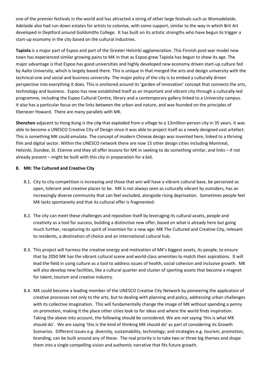one of the premier festivals in the world and has attracted a string of other large festivals such as Womadelaide. Adelaide also had run down estates for artists to colonise, with some support, similar to the way in which Brit Art developed in Deptford around Goldsmiths College. It has built on its artistic strengths who have begun to trigger a start-up economy in the city based on the cultural industries.

Tapiola is a major part of Espoo and part of the Greater Helsinki agglomeration. This Finnish post-war model new town has experienced similar growing pains to MK in that as Espoo grew Tapiola has begun to show its age. The major advantage is that Espoo has good universities and highly developed new economy driven start-up culture fed by Aalto University, which is largely based there. This is unique in that merged the arts and design university with the technical one and social and business university. The major policy of the city is to embed a culturally driven perspective into everything it does. This is anchored around its 'garden of innovation' concept that connects the arts, technology and business. Espoo has now established itself as an important and vibrant city through a culturally-led programme, including the Espoo Cultural Centre, library and a contemporary gallery linked to a University campus. It also has a particular focus on the links between the urban and nature, and was founded on the principles of Ebenezer Howard. There are many parallels with MK.

Shenzhen adjacent to Hong Kong is the city that exploded from a village to a 13million-person city in 35 years. It was able to become a UNESCO Creative City of Design since it was able to project itself as a newly designed vast artefact. This is something MK could emulate. The concept of modern Chinese design was invented here, linked to a thriving film and digital sector. Within the UNESCO network there are now 15 other design cities including Montreal, Helsinki, Dundee, St. Etienne and they all offer lessons for MK in seeking to do something similar, and links – if not already present – might be built with this city in preparation for a bid.

#### 8. MK: The Cultured and Creative City

- 8.1. City to city competition is increasing and those that win will have a vibrant cultural base, be perceived as open, tolerant and creative places to be. MK is not always seen as culturally vibrant by outsiders, has an increasingly diverse community that can feel excluded, alongside rising deprivation. Sometimes people feel MK lacks spontaneity and that its cultural offer is fragmented.
- 8.2. The city can meet these challenges and reposition itself by leveraging its cultural assets, people and creativity as a tool for success, building a distinctive new offer, based on what is already here but going much further, recapturing its spirit of invention for a new age: MK The Cultured and Creative City, relevant to residents, a destination of choice and an international cultural hub.
- 8.3. This project will harness the creative energy and motivation of MK's biggest assets, its people, to ensure that by 2050 MK has the vibrant cultural scene and world-class amenities to match their aspirations. It will lead the field in using culture as a tool to address issues of health, social cohesion and inclusive growth. MK will also develop new facilities, like a cultural quarter and cluster of sporting assets that become a magnet for talent, tourism and creative industry.
- 8.4. MK could become a leading member of the UNESCO Creative City Network by pioneering the application of creative processes not only to the arts, but to dealing with planning and policy, addressing urban challenges with its collective imagination. This will fundamentally change the image of MK without spending a penny on promotion, making it the place other cities look to for ideas and where the world finds inspiration. Taking the above into account, the following should be considered. We are not saying 'this is what MK should do'. We are saying 'this is the kind of thinking MK should do' as part of considering its Growth Scenarios. Different issues e.g. diversity, sustainability, technology; and strategies e.g. tourism, promotion, branding, can be built around any of these. The real priority is to take two or three big themes and shape them into a single compelling vision and authentic narrative that fits future growth.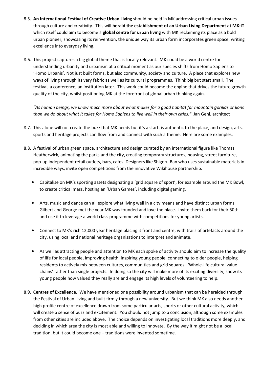- 8.5. An International Festival of Creative Urban Living should be held in MK addressing critical urban issues through culture and creativity. This will herald the establishment of an Urban Living Department at MK:IT which itself could aim to become a global centre for urban living with MK reclaiming its place as a bold urban pioneer, showcasing its reinvention, the unique way its urban form incorporates green space, writing excellence into everyday living.
- 8.6. This project captures a big global theme that is locally relevant. MK could be a world centre for understanding urbanity and urbanism at a critical moment as our species shifts from Homo Sapiens to 'Homo Urbanis'. Not just built forms, but also community, society and culture. A place that explores new ways of living through its very fabric as well as its cultural programmes. Think big but start small. The festival, a conference, an institution later. This work could become the engine that drives the future growth quality of the city, whilst positioning MK at the forefront of global urban thinking again.

"As human beings, we know much more about what makes for a good habitat for mountain gorillas or lions than we do about what it takes for Homo Sapiens to live well in their own cities." Jan Gehl, architect

- 8.7. This alone will not create the buzz that MK needs but it's a start, is authentic to the place, and design, arts, sports and heritage projects can flow from and connect with such a theme. Here are some examples.
- 8.8. A festival of urban green space, architecture and design curated by an international figure like Thomas Heatherwick, animating the parks and the city, creating temporary structures, housing, street furniture, pop-up independent retail outlets, bars, cafes. Designers like Shigeru Ban who uses sustainable materials in incredible ways, invite open competitions from the innovative Wikihouse partnership.
	- Capitalise on MK's sporting assets designating a 'grid square of sport', for example around the MK Bowl, to create critical mass, hosting an 'Urban Games', including digital gaming.
	- Arts, music and dance can all explore what living well in a city means and have distinct urban forms. Gilbert and George met the year MK was founded and love the place. Invite them back for their 50th and use it to leverage a world class programme with competitions for young artists.
	- Connect to MK's rich 12,000 year heritage placing it front and centre, with trails of artefacts around the city, using local and national heritage organisations to interpret and animate.
	- As well as attracting people and attention to MK each spoke of activity should aim to increase the quality of life for local people, improving health, inspiring young people, connecting to older people, helping residents to actively mix between cultures, communities and grid squares. 'Whole-life cultural value chains' rather than single projects. In doing so the city will make more of its exciting diversity, show its young people how valued they really are and engage its high levels of volunteering to help.
- 8.9. Centres of Excellence. We have mentioned one possibility around urbanism that can be heralded through the Festival of Urban Living and built firmly through a new university. But we think MK also needs another high profile centre of excellence drawn from some particular arts, sports or other cultural activity, which will create a sense of buzz and excitement. You should not jump to a conclusion, although some examples from other cities are included above. The choice depends on investigating local traditions more deeply, and deciding in which area the city is most able and willing to innovate. By the way it might not be a local tradition, but it could become one – traditions were invented sometime.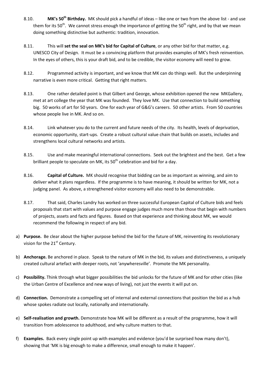- 8.10. MK's 50<sup>th</sup> Birthday. MK should pick a handful of ideas like one or two from the above list and use them for its 50<sup>th</sup>. We cannot stress enough the importance of getting the 50<sup>th</sup> right, and by that we mean doing something distinctive but authentic: tradition, innovation.
- 8.11. This will set the seal on MK's bid for Capital of Culture, or any other bid for that matter, e.g. UNESCO City of Design. It must be a convincing platform that provides examples of MK's fresh reinvention. In the eyes of others, this is your draft bid, and to be credible, the visitor economy will need to grow.
- 8.12. Programmed activity is important, and we know that MK can do things well. But the underpinning narrative is even more critical. Getting that right matters.
- 8.13. One rather detailed point is that Gilbert and George, whose exhibition opened the new MKGallery, met at art college the year that MK was founded. They love MK. Use that connection to build something big. 50 works of art for 50 years. One for each year of G&G's careers. 50 other artists. From 50 countries whose people live in MK. And so on.
- 8.14. Link whatever you do to the current and future needs of the city. Its health, levels of deprivation, economic opportunity, start-ups. Create a robust cultural value chain that builds on assets, includes and strengthens local cultural networks and artists.
- 8.15. Use and make meaningful international connections. Seek out the brightest and the best. Get a few brilliant people to speculate on MK, its  $50<sup>th</sup>$  celebration and bid for a day.
- 8.16. Capital of Culture. MK should recognise that bidding can be as important as winning, and aim to deliver what it plans regardless. If the programme is to have meaning, it should be written for MK, not a judging panel. As above, a strengthened visitor economy will also need to be demonstrable.
- 8.17. That said, Charles Landry has worked on three successful European Capital of Culture bids and feels proposals that start with values and purpose engage judges much more than those that begin with numbers of projects, assets and facts and figures. Based on that experience and thinking about MK, we would recommend the following in respect of any bid.
- a) Purpose. Be clear about the higher purpose behind the bid for the future of MK, reinventing its revolutionary vision for the 21<sup>st</sup> Century.
- b) Anchorage. Be anchored in place. Speak to the nature of MK in the bid, its values and distinctiveness, a uniquely created cultural artefact with deeper roots, not 'anywheresville'. Promote the MK personality.
- c) Possibility. Think through what bigger possibilities the bid unlocks for the future of MK and for other cities (like the Urban Centre of Excellence and new ways of living), not just the events it will put on.
- d) Connection. Demonstrate a compelling set of internal and external connections that position the bid as a hub whose spokes radiate out locally, nationally and internationally.
- e) Self-realisation and growth. Demonstrate how MK will be different as a result of the programme, how it will transition from adolescence to adulthood, and why culture matters to that.
- f) Examples. Back every single point up with examples and evidence (you'd be surprised how many don't), showing that 'MK is big enough to make a difference, small enough to make it happen'.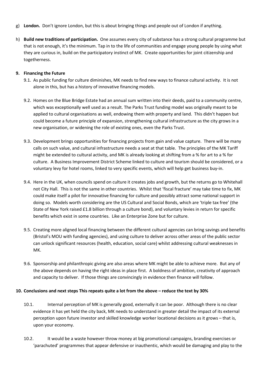- g) London. Don't ignore London, but this is about bringing things and people out of London if anything.
- h) Build new traditions of participation. One assumes every city of substance has a strong cultural programme but that is not enough, it's the minimum. Tap in to the life of communities and engage young people by using what they are curious in, build on the participatory instinct of MK. Create opportunities for joint citizenship and togetherness.

#### 9. Financing the Future

- 9.1. As public funding for culture diminishes, MK needs to find new ways to finance cultural activity. It is not alone in this, but has a history of innovative financing models.
- 9.2. Homes on the Blue Bridge Estate had an annual sum written into their deeds, paid to a community centre, which was exceptionally well used as a result. The Parks Trust funding model was originally meant to be applied to cultural organisations as well, endowing them with property and land. This didn't happen but could become a future principle of expansion, strengthening cultural infrastructure as the city grows in a new organisation, or widening the role of existing ones, even the Parks Trust.
- 9.3. Development brings opportunities for financing projects from gain and value capture. There will be many calls on such value, and cultural infrastructure needs a seat at that table. The principles of the MK Tariff might be extended to cultural activity, and MK is already looking at shifting from a % for art to a % for culture. A Business Improvement District Scheme linked to culture and tourism should be considered, or a voluntary levy for hotel rooms, linked to very specific events, which will help get business buy-in.
- 9.4. Here in the UK, when councils spend on culture it creates jobs and growth, but the returns go to Whitehall not City Hall. This is not the same in other countries. Whilst that 'fiscal fracture' may take time to fix, MK could make itself a pilot for innovative financing for culture and possibly attract some national support in doing so. Models worth considering are the US Cultural and Social Bonds, which are 'triple tax free' (the State of New York raised £1.8 billion through a culture bond), and voluntary levies in return for specific benefits which exist in some countries. Like an Enterprise Zone but for culture.
- 9.5. Creating more aligned local financing between the different cultural agencies can bring savings and benefits (Bristol's MOU with funding agencies), and using culture to deliver across other areas of the public sector can unlock significant resources (health, education, social care) whilst addressing cultural weaknesses in MK.
- 9.6. Sponsorship and philanthropic giving are also areas where MK might be able to achieve more. But any of the above depends on having the right ideas in place first. A boldness of ambition, creativity of approach and capacity to deliver. If those things are convincingly in evidence then finance will follow.

#### 10. Conclusions and next steps This repeats quite a lot from the above – reduce the text by 30%

- 10.1. Internal perception of MK is generally good, externally it can be poor. Although there is no clear evidence it has yet held the city back, MK needs to understand in greater detail the impact of its external perception upon future investor and skilled knowledge worker locational decisions as it grows – that is, upon your economy.
- 10.2. It would be a waste however throw money at big promotional campaigns, branding exercises or 'parachuted' programmes that appear defensive or inauthentic, which would be damaging and play to the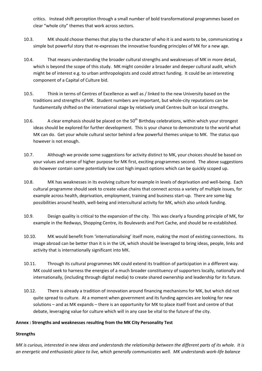critics. Instead shift perception through a small number of bold transformational programmes based on clear "whole city" themes that work across sectors.

- 10.3. MK should choose themes that play to the character of who it is and wants to be, communicating a simple but powerful story that re-expresses the innovative founding principles of MK for a new age.
- 10.4. That means understanding the broader cultural strengths and weaknesses of MK in more detail, which is beyond the scope of this study. MK might consider a broader and deeper cultural audit, which might be of interest e.g. to urban anthropologists and could attract funding. It could be an interesting component of a Capital of Culture bid.
- 10.5. Think in terms of Centres of Excellence as well as / linked to the new University based on the traditions and strengths of MK. Student numbers are important, but whole-city reputations can be fundamentally shifted on the international stage by relatively small Centres built on local strengths.
- 10.6. A clear emphasis should be placed on the 50<sup>th</sup> Birthday celebrations, within which your strongest ideas should be explored for further development. This is your chance to demonstrate to the world what MK can do. Get your whole cultural sector behind a few powerful themes unique to MK. The status quo however is not enough.
- 10.7. Although we provide some suggestions for activity distinct to MK, your choices should be based on your values and sense of higher purpose for MK first, exciting programmes second. The above suggestions do however contain some potentially low cost high impact options which can be quickly scoped up.
- 10.8. MK has weaknesses in its evolving culture for example in levels of deprivation and well-being. Each cultural programme should seek to create value chains that connect across a variety of multiple issues, for example across health, deprivation, employment, training and business start-up. There are some big possibilities around health, well-being and intercultural activity for MK, which also unlock funding.
- 10.9. Design quality is critical to the expansion of the city. This was clearly a founding principle of MK, for example in the Redways, Shopping Centre, its Boulevards and Port Cache, and should be re-established.
- 10.10. MK would benefit from 'internationalising' itself more, making the most of existing connections. Its image abroad can be better than it is in the UK, which should be leveraged to bring ideas, people, links and activity that is internationally significant into MK.
- 10.11. Through its cultural programmes MK could extend its tradition of participation in a different way. MK could seek to harness the energies of a much broader constituency of supporters locally, nationally and internationally, (including through digital media) to create shared ownership and leadership for its future.
- 10.12. There is already a tradition of innovation around financing mechanisms for MK, but which did not quite spread to culture. At a moment when government and its funding agencies are looking for new solutions – and as MK expands – there is an opportunity for MK to place itself front and centre of that debate, leveraging value for culture which will in any case be vital to the future of the city.

#### Annex : Strengths and weaknesses resulting from the MK City Personality Test

#### **Strengths**

MK is curious, interested in new ideas and understands the relationship between the different parts of its whole. It is an energetic and enthusiastic place to live, which generally communicates well. MK understands work-life balance